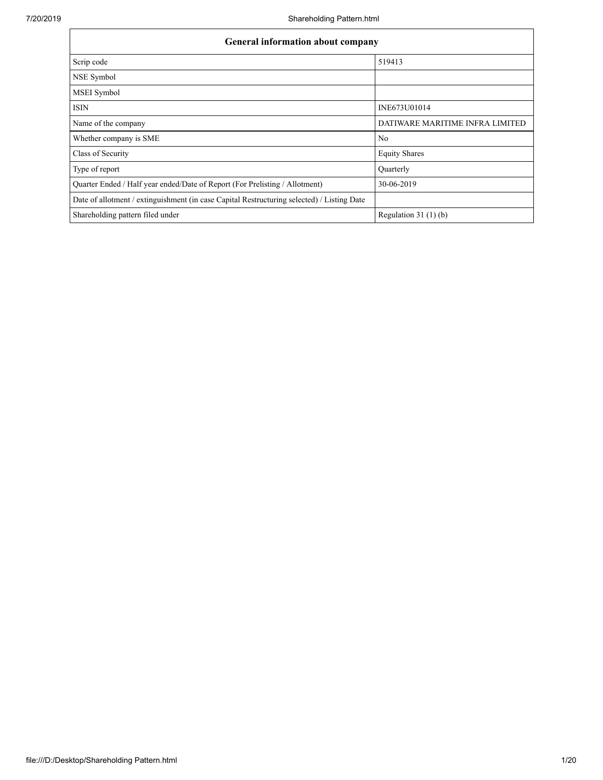| <b>General information about company</b>                                                   |                                 |  |  |  |  |  |
|--------------------------------------------------------------------------------------------|---------------------------------|--|--|--|--|--|
| Scrip code                                                                                 | 519413                          |  |  |  |  |  |
| NSE Symbol                                                                                 |                                 |  |  |  |  |  |
| MSEI Symbol                                                                                |                                 |  |  |  |  |  |
| <b>ISIN</b>                                                                                | INE673U01014                    |  |  |  |  |  |
| Name of the company                                                                        | DATIWARE MARITIME INFRA LIMITED |  |  |  |  |  |
| Whether company is SME                                                                     | No                              |  |  |  |  |  |
| Class of Security                                                                          | <b>Equity Shares</b>            |  |  |  |  |  |
| Type of report                                                                             | Quarterly                       |  |  |  |  |  |
| Quarter Ended / Half year ended/Date of Report (For Prelisting / Allotment)                | 30-06-2019                      |  |  |  |  |  |
| Date of allotment / extinguishment (in case Capital Restructuring selected) / Listing Date |                                 |  |  |  |  |  |
| Shareholding pattern filed under                                                           | Regulation $31(1)(b)$           |  |  |  |  |  |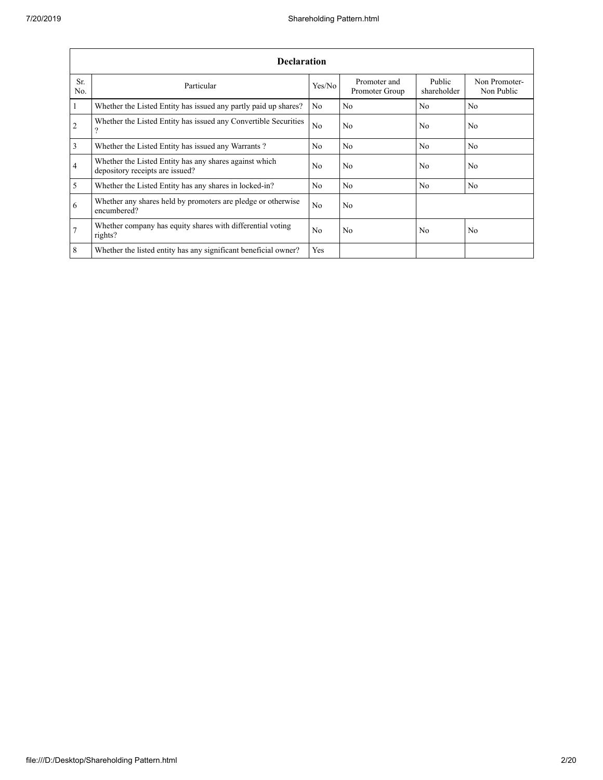|                 | <b>Declaration</b>                                                                        |                |                                |                       |                             |  |  |  |  |  |
|-----------------|-------------------------------------------------------------------------------------------|----------------|--------------------------------|-----------------------|-----------------------------|--|--|--|--|--|
| Sr.<br>No.      | Particular                                                                                | Yes/No         | Promoter and<br>Promoter Group | Public<br>shareholder | Non Promoter-<br>Non Public |  |  |  |  |  |
| $\overline{1}$  | Whether the Listed Entity has issued any partly paid up shares?                           | No             | No                             | No                    | No                          |  |  |  |  |  |
| $\overline{2}$  | Whether the Listed Entity has issued any Convertible Securities<br>2                      | No             | No                             | No                    | No                          |  |  |  |  |  |
| $\overline{3}$  | Whether the Listed Entity has issued any Warrants?                                        | No.            | No                             | N <sub>0</sub>        | N <sub>0</sub>              |  |  |  |  |  |
| $\overline{4}$  | Whether the Listed Entity has any shares against which<br>depository receipts are issued? | No.            | No                             | No.                   | N <sub>0</sub>              |  |  |  |  |  |
| $\overline{5}$  | Whether the Listed Entity has any shares in locked-in?                                    | No.            | No                             | No                    | N <sub>0</sub>              |  |  |  |  |  |
| 6               | Whether any shares held by promoters are pledge or otherwise<br>encumbered?               | N <sub>0</sub> | N <sub>o</sub>                 |                       |                             |  |  |  |  |  |
| $7\overline{ }$ | Whether company has equity shares with differential voting<br>rights?                     | No.            | N <sub>0</sub>                 | N <sub>0</sub>        | N <sub>0</sub>              |  |  |  |  |  |
| 8               | Whether the listed entity has any significant beneficial owner?                           | Yes            |                                |                       |                             |  |  |  |  |  |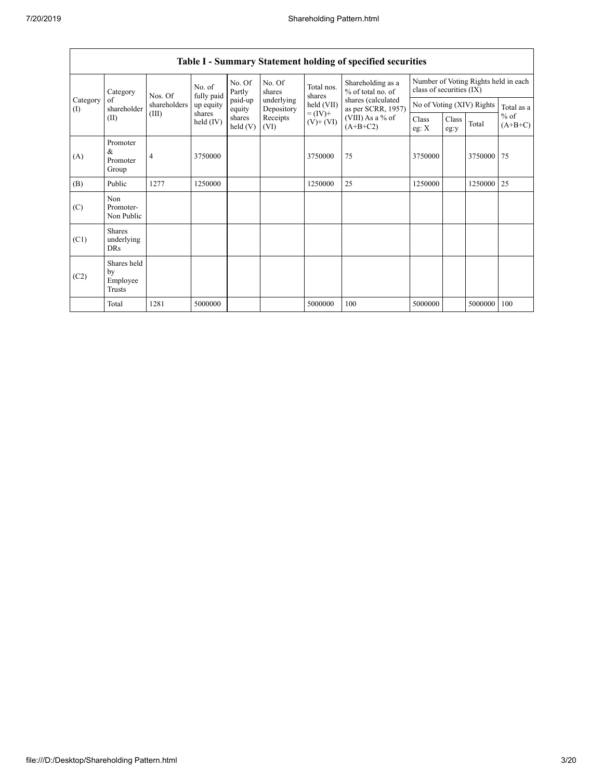|                 | Category                                       | Nos. Of        | No. of<br>fully paid | No. Of<br>Partly     | No. Of<br>shares         | Total nos.<br>shares         | Shareholding as a<br>% of total no. of   | Number of Voting Rights held in each<br>class of securities (IX) |               |                           |                     |
|-----------------|------------------------------------------------|----------------|----------------------|----------------------|--------------------------|------------------------------|------------------------------------------|------------------------------------------------------------------|---------------|---------------------------|---------------------|
| Category<br>(I) | of<br>shareholder                              | shareholders   | up equity            | paid-up<br>equity    | underlying<br>Depository | held (VII)                   | shares (calculated<br>as per SCRR, 1957) |                                                                  |               | No of Voting (XIV) Rights | Total as a          |
|                 | (II)                                           | (III)          | shares<br>held (IV)  | shares<br>held $(V)$ | Receipts<br>(VI)         | $= (IV) +$<br>$(V)$ + $(VI)$ | (VIII) As a % of<br>$(A+B+C2)$           | Class<br>eg: $X$                                                 | Class<br>eg:y | Total                     | $%$ of<br>$(A+B+C)$ |
| (A)             | Promoter<br>&<br>Promoter<br>Group             | $\overline{4}$ | 3750000              |                      |                          | 3750000                      | 75                                       | 3750000                                                          |               | 3750000                   | 75                  |
| (B)             | Public                                         | 1277           | 1250000              |                      |                          | 1250000                      | 25                                       | 1250000                                                          |               | 1250000                   | 25                  |
| (C)             | Non<br>Promoter-<br>Non Public                 |                |                      |                      |                          |                              |                                          |                                                                  |               |                           |                     |
| (C1)            | <b>Shares</b><br>underlying<br><b>DRs</b>      |                |                      |                      |                          |                              |                                          |                                                                  |               |                           |                     |
| (C2)            | Shares held<br>by<br>Employee<br><b>Trusts</b> |                |                      |                      |                          |                              |                                          |                                                                  |               |                           |                     |
|                 | Total                                          | 1281           | 5000000              |                      |                          | 5000000                      | 100                                      | 5000000                                                          |               | 5000000                   | 100                 |

## **Table I - Summary Statement holding of specified securities**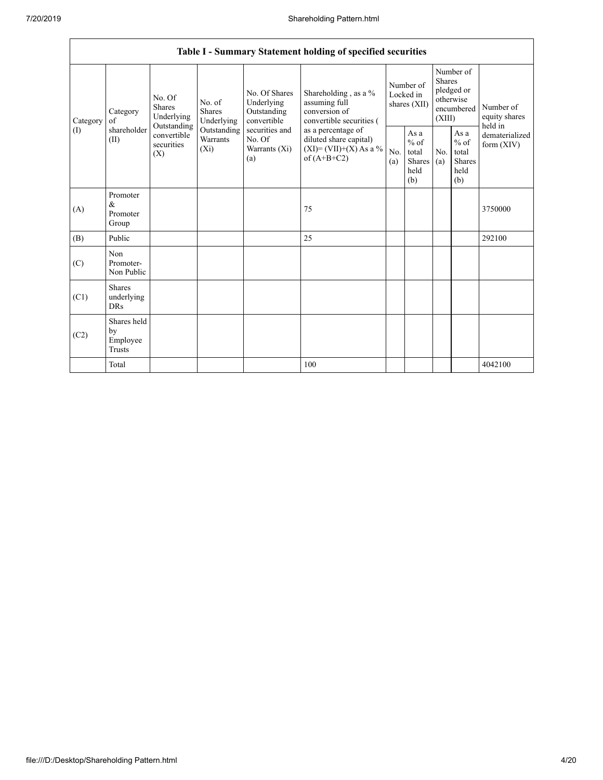|          | Table I - Summary Statement holding of specified securities                                                                                                                                                                                                        |                                  |                                    |                                                  |                                                                                          |                  |                                                    |                                       |                                                         |                                |
|----------|--------------------------------------------------------------------------------------------------------------------------------------------------------------------------------------------------------------------------------------------------------------------|----------------------------------|------------------------------------|--------------------------------------------------|------------------------------------------------------------------------------------------|------------------|----------------------------------------------------|---------------------------------------|---------------------------------------------------------|--------------------------------|
| Category | No. Of Shares<br>Shareholding, as a %<br>No. Of<br>assuming full<br>Underlying<br>No. of<br><b>Shares</b><br>conversion of<br><b>Shares</b><br>Outstanding<br>Category<br>Underlying<br>Underlying<br>convertible<br>of<br>convertible securities (<br>Outstanding |                                  |                                    |                                                  | Number of<br>Locked in<br>shares (XII)                                                   | Shares<br>(XIII) | Number of<br>pledged or<br>otherwise<br>encumbered | Number of<br>equity shares<br>held in |                                                         |                                |
| (1)      | shareholder<br>(II)                                                                                                                                                                                                                                                | convertible<br>securities<br>(X) | Outstanding<br>Warrants<br>$(X_i)$ | securities and<br>No. Of<br>Warrants (Xi)<br>(a) | as a percentage of<br>diluted share capital)<br>$(XI)=(VII)+(X)$ As a %<br>of $(A+B+C2)$ | No.<br>(a)       | As a<br>$%$ of<br>total<br>Shares<br>held<br>(b)   | No.<br>(a)                            | As a<br>$%$ of<br>total<br><b>Shares</b><br>held<br>(b) | dematerialized<br>form $(XIV)$ |
| (A)      | Promoter<br>&<br>Promoter<br>Group                                                                                                                                                                                                                                 |                                  |                                    |                                                  | 75                                                                                       |                  |                                                    |                                       |                                                         | 3750000                        |
| (B)      | Public                                                                                                                                                                                                                                                             |                                  |                                    |                                                  | 25                                                                                       |                  |                                                    |                                       |                                                         | 292100                         |
| (C)      | Non<br>Promoter-<br>Non Public                                                                                                                                                                                                                                     |                                  |                                    |                                                  |                                                                                          |                  |                                                    |                                       |                                                         |                                |
| (C1)     | <b>Shares</b><br>underlying<br><b>DRs</b>                                                                                                                                                                                                                          |                                  |                                    |                                                  |                                                                                          |                  |                                                    |                                       |                                                         |                                |
| (C2)     | Shares held<br>by<br>Employee<br>Trusts                                                                                                                                                                                                                            |                                  |                                    |                                                  |                                                                                          |                  |                                                    |                                       |                                                         |                                |
|          | Total                                                                                                                                                                                                                                                              |                                  |                                    |                                                  | 100                                                                                      |                  |                                                    |                                       |                                                         | 4042100                        |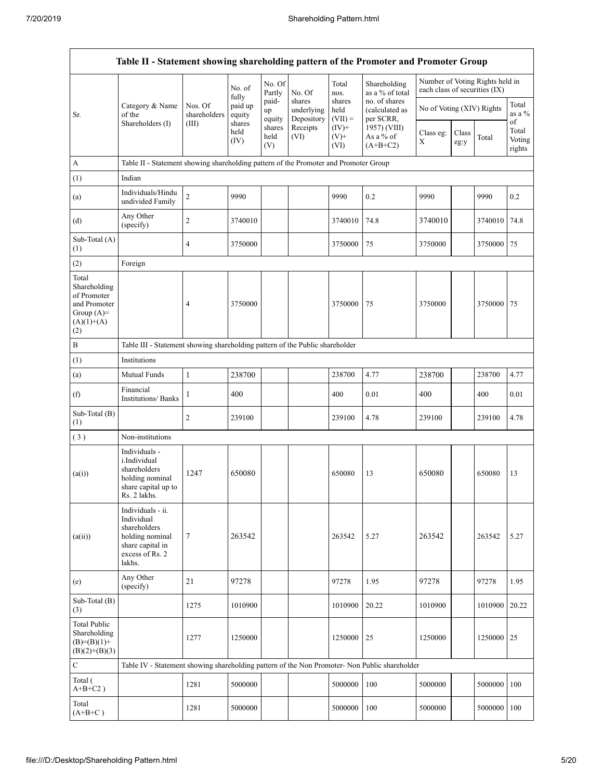|                                                                                             | Table II - Statement showing shareholding pattern of the Promoter and Promoter Group                                |                                  |                             |                       |                                    |                             |                                              |                               |               |                                 |                           |
|---------------------------------------------------------------------------------------------|---------------------------------------------------------------------------------------------------------------------|----------------------------------|-----------------------------|-----------------------|------------------------------------|-----------------------------|----------------------------------------------|-------------------------------|---------------|---------------------------------|---------------------------|
|                                                                                             |                                                                                                                     |                                  | No. of<br>fully             | No. Of<br>Partly      | No. Of                             | Total<br>nos.               | Shareholding<br>as a % of total              | each class of securities (IX) |               | Number of Voting Rights held in |                           |
| Sr.                                                                                         | Category & Name<br>of the<br>Shareholders (I)                                                                       | Nos. Of<br>shareholders<br>(III) | paid up<br>equity<br>shares | paid-<br>up<br>equity | shares<br>underlying<br>Depository | shares<br>held<br>$(VII) =$ | no. of shares<br>(calculated as<br>per SCRR, | No of Voting (XIV) Rights     |               |                                 | Total<br>as a %<br>of     |
|                                                                                             |                                                                                                                     |                                  | held<br>(IV)                | shares<br>held<br>(V) | Receipts<br>(VI)                   | $(IV)+$<br>$(V)$ +<br>(VI)  | 1957) (VIII)<br>As a % of<br>$(A+B+C2)$      | Class eg:<br>X                | Class<br>eg:y | Total                           | Total<br>Voting<br>rights |
| A                                                                                           | Table II - Statement showing shareholding pattern of the Promoter and Promoter Group                                |                                  |                             |                       |                                    |                             |                                              |                               |               |                                 |                           |
| (1)                                                                                         | Indian                                                                                                              |                                  |                             |                       |                                    |                             |                                              |                               |               |                                 |                           |
| (a)                                                                                         | Individuals/Hindu<br>undivided Family                                                                               | $\sqrt{2}$                       | 9990                        |                       |                                    | 9990                        | 0.2                                          | 9990                          |               | 9990                            | 0.2                       |
| (d)                                                                                         | Any Other<br>(specify)                                                                                              | $\overline{c}$                   | 3740010                     |                       |                                    | 3740010                     | 74.8                                         | 3740010                       |               | 3740010                         | 74.8                      |
| Sub-Total (A)<br>(1)                                                                        |                                                                                                                     | 4                                | 3750000                     |                       |                                    | 3750000                     | 75                                           | 3750000                       |               | 3750000                         | 75                        |
| (2)                                                                                         | Foreign                                                                                                             |                                  |                             |                       |                                    |                             |                                              |                               |               |                                 |                           |
| Total<br>Shareholding<br>of Promoter<br>and Promoter<br>Group $(A)=$<br>$(A)(1)+(A)$<br>(2) |                                                                                                                     | 4                                | 3750000                     |                       |                                    | 3750000                     | 75                                           | 3750000                       |               | 3750000                         | 75                        |
| B                                                                                           | Table III - Statement showing shareholding pattern of the Public shareholder                                        |                                  |                             |                       |                                    |                             |                                              |                               |               |                                 |                           |
| (1)                                                                                         | Institutions                                                                                                        |                                  |                             |                       |                                    |                             |                                              |                               |               |                                 |                           |
| (a)                                                                                         | Mutual Funds                                                                                                        | $\mathbf{1}$                     | 238700                      |                       |                                    | 238700                      | 4.77                                         | 238700                        |               | 238700                          | 4.77                      |
| (f)                                                                                         | Financial<br><b>Institutions/Banks</b>                                                                              | 1                                | 400                         |                       |                                    | 400                         | 0.01                                         | 400                           |               | 400                             | 0.01                      |
| Sub-Total (B)<br>(1)                                                                        |                                                                                                                     | $\overline{c}$                   | 239100                      |                       |                                    | 239100                      | 4.78                                         | 239100                        |               | 239100                          | 4.78                      |
| (3)                                                                                         | Non-institutions                                                                                                    |                                  |                             |                       |                                    |                             |                                              |                               |               |                                 |                           |
| (a(i))                                                                                      | Individuals -<br>i.Individual<br>shareholders<br>holding nominal<br>share capital up to<br>Rs. 2 lakhs.             | 1247                             | 650080                      |                       |                                    | 650080                      | 13                                           | 650080                        |               | 650080                          | 13                        |
| (a(ii))                                                                                     | Individuals - ii.<br>Individual<br>shareholders<br>holding nominal<br>share capital in<br>excess of Rs. 2<br>lakhs. | 7                                | 263542                      |                       |                                    | 263542                      | 5.27                                         | 263542                        |               | 263542                          | 5.27                      |
| (e)                                                                                         | Any Other<br>(specify)                                                                                              | 21                               | 97278                       |                       |                                    | 97278                       | 1.95                                         | 97278                         |               | 97278                           | 1.95                      |
| Sub-Total (B)<br>(3)                                                                        |                                                                                                                     | 1275                             | 1010900                     |                       |                                    | 1010900                     | 20.22                                        | 1010900                       |               | 1010900                         | 20.22                     |
| <b>Total Public</b><br>Shareholding<br>$(B)=(B)(1)+$<br>$(B)(2)+(B)(3)$                     |                                                                                                                     | 1277                             | 1250000                     |                       |                                    | 1250000                     | 25                                           | 1250000                       |               | 1250000                         | 25                        |
| $\mathbf C$                                                                                 | Table IV - Statement showing shareholding pattern of the Non Promoter- Non Public shareholder                       |                                  |                             |                       |                                    |                             |                                              |                               |               |                                 |                           |
| Total (<br>$A+B+C2$ )                                                                       |                                                                                                                     | 1281                             | 5000000                     |                       |                                    | 5000000                     | 100                                          | 5000000                       |               | 5000000                         | 100                       |
| Total<br>$(A+B+C)$                                                                          |                                                                                                                     | 1281                             | 5000000                     |                       |                                    | 5000000                     | 100                                          | 5000000                       |               | 5000000                         | 100                       |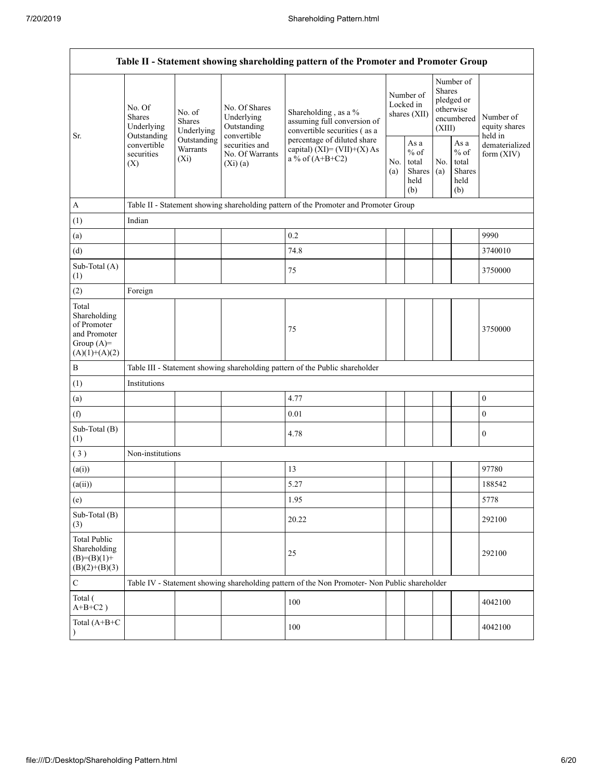|                                                                                         | Table II - Statement showing shareholding pattern of the Promoter and Promoter Group |                                                           |                                                                                     |                                                                                               |            |                                                                        |            |                                                  |                                |
|-----------------------------------------------------------------------------------------|--------------------------------------------------------------------------------------|-----------------------------------------------------------|-------------------------------------------------------------------------------------|-----------------------------------------------------------------------------------------------|------------|------------------------------------------------------------------------|------------|--------------------------------------------------|--------------------------------|
| Sr.                                                                                     | No. Of<br>No. of<br><b>Shares</b><br><b>Shares</b><br>Underlying<br>Underlying       | No. Of Shares<br>Underlying<br>Outstanding<br>convertible | Shareholding, as a %<br>assuming full conversion of<br>convertible securities (as a | Number of<br>Locked in<br>shares (XII)                                                        |            | Number of<br>Shares<br>pledged or<br>otherwise<br>encumbered<br>(XIII) |            | Number of<br>equity shares<br>held in            |                                |
|                                                                                         | Outstanding<br>convertible<br>securities<br>(X)                                      | Outstanding<br>Warrants<br>$(X_i)$                        | securities and<br>No. Of Warrants<br>(Xi)(a)                                        | percentage of diluted share<br>capital) $(XI) = (VII)+(X) As$<br>a % of $(A+B+C2)$            | No.<br>(a) | As a<br>$%$ of<br>total<br>Shares<br>held<br>(b)                       | No.<br>(a) | As a<br>$%$ of<br>total<br>Shares<br>held<br>(b) | dematerialized<br>form $(XIV)$ |
| $\mathbf{A}$                                                                            |                                                                                      |                                                           |                                                                                     | Table II - Statement showing shareholding pattern of the Promoter and Promoter Group          |            |                                                                        |            |                                                  |                                |
| (1)                                                                                     | Indian                                                                               |                                                           |                                                                                     |                                                                                               |            |                                                                        |            |                                                  |                                |
| (a)                                                                                     |                                                                                      |                                                           |                                                                                     | 0.2                                                                                           |            |                                                                        |            |                                                  | 9990                           |
| (d)                                                                                     |                                                                                      |                                                           |                                                                                     | 74.8                                                                                          |            |                                                                        |            |                                                  | 3740010                        |
| Sub-Total (A)<br>(1)                                                                    |                                                                                      |                                                           |                                                                                     | 75                                                                                            |            |                                                                        |            |                                                  | 3750000                        |
| (2)                                                                                     | Foreign                                                                              |                                                           |                                                                                     |                                                                                               |            |                                                                        |            |                                                  |                                |
| Total<br>Shareholding<br>of Promoter<br>and Promoter<br>Group $(A)=$<br>$(A)(1)+(A)(2)$ |                                                                                      |                                                           |                                                                                     | 75                                                                                            |            |                                                                        |            |                                                  | 3750000                        |
| $\, {\bf B}$                                                                            |                                                                                      |                                                           |                                                                                     | Table III - Statement showing shareholding pattern of the Public shareholder                  |            |                                                                        |            |                                                  |                                |
| (1)                                                                                     | Institutions                                                                         |                                                           |                                                                                     |                                                                                               |            |                                                                        |            |                                                  |                                |
| (a)                                                                                     |                                                                                      |                                                           |                                                                                     | 4.77                                                                                          |            |                                                                        |            |                                                  | $\boldsymbol{0}$               |
| (f)                                                                                     |                                                                                      |                                                           |                                                                                     | 0.01                                                                                          |            |                                                                        |            |                                                  | $\boldsymbol{0}$               |
| Sub-Total (B)<br>(1)                                                                    |                                                                                      |                                                           |                                                                                     | 4.78                                                                                          |            |                                                                        |            |                                                  | $\boldsymbol{0}$               |
| (3)                                                                                     | Non-institutions                                                                     |                                                           |                                                                                     |                                                                                               |            |                                                                        |            |                                                  |                                |
| (a(i))                                                                                  |                                                                                      |                                                           |                                                                                     | 13                                                                                            |            |                                                                        |            |                                                  | 97780                          |
| (a(ii))                                                                                 |                                                                                      |                                                           |                                                                                     | 5.27                                                                                          |            |                                                                        |            |                                                  | 188542                         |
| (e)                                                                                     |                                                                                      |                                                           |                                                                                     | 1.95                                                                                          |            |                                                                        |            |                                                  | 5778                           |
| Sub-Total (B)<br>(3)                                                                    |                                                                                      |                                                           |                                                                                     | 20.22                                                                                         |            |                                                                        |            |                                                  | 292100                         |
| <b>Total Public</b><br>Shareholding<br>$(B)=(B)(1)+$<br>$(B)(2)+(B)(3)$                 |                                                                                      |                                                           |                                                                                     | 25                                                                                            |            |                                                                        |            |                                                  | 292100                         |
| $\mathbf C$                                                                             |                                                                                      |                                                           |                                                                                     | Table IV - Statement showing shareholding pattern of the Non Promoter- Non Public shareholder |            |                                                                        |            |                                                  |                                |
| Total (<br>$A+B+C2$ )                                                                   |                                                                                      |                                                           |                                                                                     | 100                                                                                           |            |                                                                        |            |                                                  | 4042100                        |
| Total (A+B+C<br>$\lambda$                                                               |                                                                                      |                                                           |                                                                                     | 100                                                                                           |            |                                                                        |            |                                                  | 4042100                        |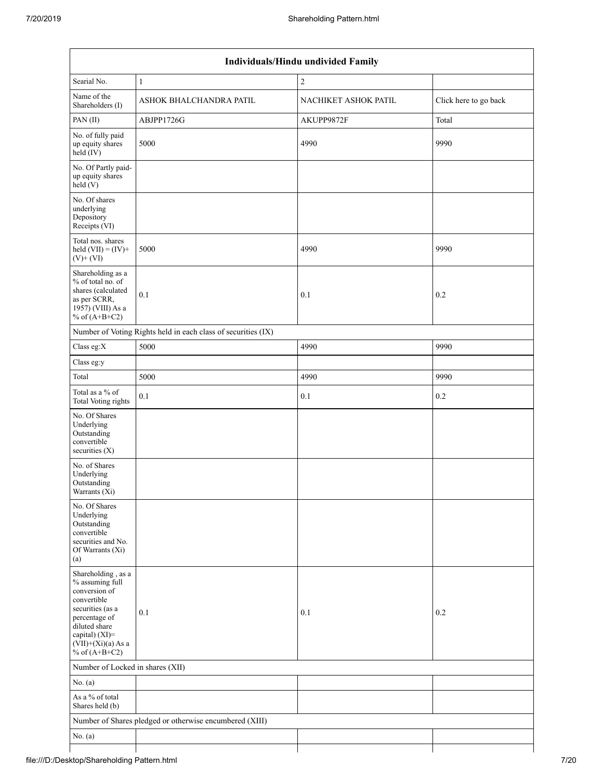| Individuals/Hindu undivided Family                                                                                                                                                       |                                                               |                      |                       |  |  |
|------------------------------------------------------------------------------------------------------------------------------------------------------------------------------------------|---------------------------------------------------------------|----------------------|-----------------------|--|--|
| Searial No.                                                                                                                                                                              | $\mathbf{1}$                                                  | $\sqrt{2}$           |                       |  |  |
| Name of the<br>Shareholders (I)                                                                                                                                                          | ASHOK BHALCHANDRA PATIL                                       | NACHIKET ASHOK PATIL | Click here to go back |  |  |
| PAN (II)                                                                                                                                                                                 | ABJPP1726G                                                    | AKUPP9872F           | Total                 |  |  |
| No. of fully paid<br>up equity shares<br>$held$ (IV)                                                                                                                                     | 5000                                                          | 4990                 | 9990                  |  |  |
| No. Of Partly paid-<br>up equity shares<br>held(V)                                                                                                                                       |                                                               |                      |                       |  |  |
| No. Of shares<br>underlying<br>Depository<br>Receipts (VI)                                                                                                                               |                                                               |                      |                       |  |  |
| Total nos. shares<br>held $(VII) = (IV) +$<br>$(V)$ + $(VI)$                                                                                                                             | 5000                                                          | 4990                 | 9990                  |  |  |
| Shareholding as a<br>% of total no. of<br>shares (calculated<br>as per SCRR,<br>1957) (VIII) As a<br>% of $(A+B+C2)$                                                                     | 0.1                                                           | 0.1                  | 0.2                   |  |  |
|                                                                                                                                                                                          | Number of Voting Rights held in each class of securities (IX) |                      |                       |  |  |
| Class eg:X                                                                                                                                                                               | 5000                                                          | 4990                 | 9990                  |  |  |
| Class eg:y                                                                                                                                                                               |                                                               |                      |                       |  |  |
| Total                                                                                                                                                                                    | 5000                                                          | 4990                 | 9990                  |  |  |
| Total as a % of<br>Total Voting rights                                                                                                                                                   | 0.1                                                           | 0.1                  | $0.2\,$               |  |  |
| No. Of Shares<br>Underlying<br>Outstanding<br>convertible<br>securities (X)                                                                                                              |                                                               |                      |                       |  |  |
| No. of Shares<br>Underlying<br>Outstanding<br>Warrants (Xi)                                                                                                                              |                                                               |                      |                       |  |  |
| No. Of Shares<br>Underlying<br>Outstanding<br>convertible<br>securities and No.<br>Of Warrants (Xi)<br>(a)                                                                               |                                                               |                      |                       |  |  |
| Shareholding, as a<br>% assuming full<br>conversion of<br>convertible<br>securities (as a<br>percentage of<br>diluted share<br>capital) (XI)=<br>$(VII)+(Xi)(a)$ As a<br>% of $(A+B+C2)$ | 0.1                                                           | 0.1                  | 0.2                   |  |  |
| Number of Locked in shares (XII)                                                                                                                                                         |                                                               |                      |                       |  |  |
| No. (a)                                                                                                                                                                                  |                                                               |                      |                       |  |  |
| As a % of total<br>Shares held (b)                                                                                                                                                       |                                                               |                      |                       |  |  |
|                                                                                                                                                                                          | Number of Shares pledged or otherwise encumbered (XIII)       |                      |                       |  |  |
| No. $(a)$                                                                                                                                                                                |                                                               |                      |                       |  |  |
|                                                                                                                                                                                          |                                                               |                      |                       |  |  |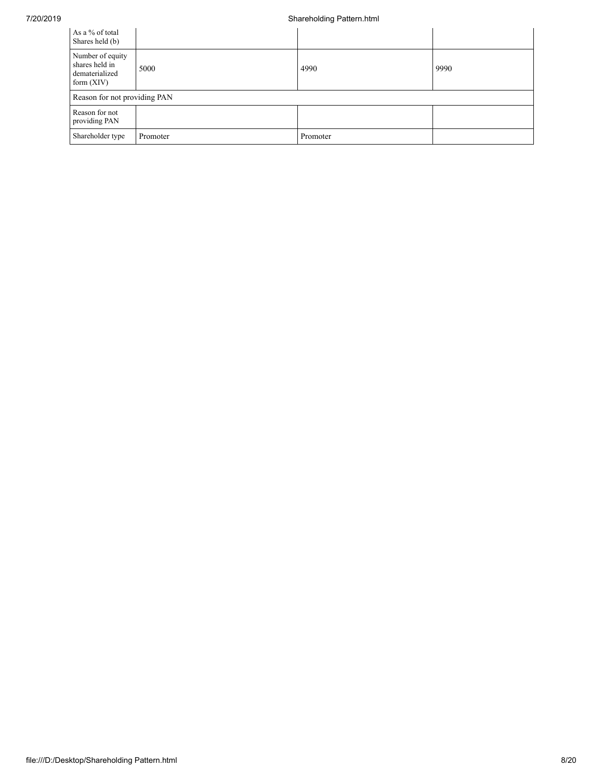## 7/20/2019 Shareholding Pattern.html

| As a % of total<br>Shares held (b)                                   |          |          |      |
|----------------------------------------------------------------------|----------|----------|------|
| Number of equity<br>shares held in<br>dematerialized<br>form $(XIV)$ | 5000     | 4990     | 9990 |
| Reason for not providing PAN                                         |          |          |      |
| Reason for not<br>providing PAN                                      |          |          |      |
| Shareholder type                                                     | Promoter | Promoter |      |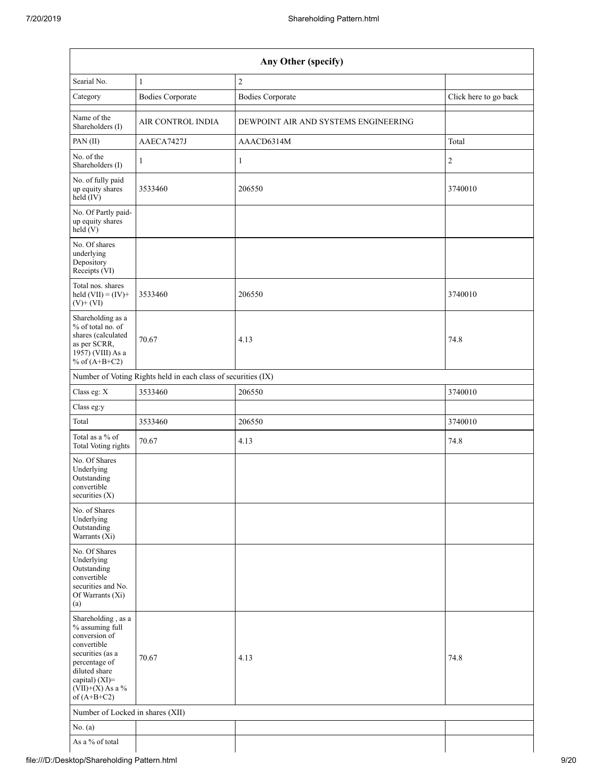|                                                                                                                                                                                         | Any Other (specify)                                           |                                      |                       |  |  |  |
|-----------------------------------------------------------------------------------------------------------------------------------------------------------------------------------------|---------------------------------------------------------------|--------------------------------------|-----------------------|--|--|--|
| Searial No.                                                                                                                                                                             | $\mathbf{1}$                                                  | $\sqrt{2}$                           |                       |  |  |  |
| Category                                                                                                                                                                                | <b>Bodies Corporate</b>                                       | <b>Bodies Corporate</b>              | Click here to go back |  |  |  |
| Name of the<br>Shareholders (I)                                                                                                                                                         | <b>AIR CONTROL INDIA</b>                                      | DEWPOINT AIR AND SYSTEMS ENGINEERING |                       |  |  |  |
| PAN(II)                                                                                                                                                                                 | AAECA7427J                                                    | AAACD6314M                           | Total                 |  |  |  |
| No. of the<br>Shareholders (I)                                                                                                                                                          | 1                                                             | 1                                    | $\overline{2}$        |  |  |  |
| No. of fully paid<br>up equity shares<br>$held$ (IV)                                                                                                                                    | 3533460                                                       | 206550                               | 3740010               |  |  |  |
| No. Of Partly paid-<br>up equity shares<br>held(V)                                                                                                                                      |                                                               |                                      |                       |  |  |  |
| No. Of shares<br>underlying<br>Depository<br>Receipts (VI)                                                                                                                              |                                                               |                                      |                       |  |  |  |
| Total nos. shares<br>held $(VII) = (IV) +$<br>$(V)$ + $(VI)$                                                                                                                            | 3533460                                                       | 206550                               | 3740010               |  |  |  |
| Shareholding as a<br>% of total no. of<br>shares (calculated<br>as per SCRR,<br>1957) (VIII) As a<br>% of $(A+B+C2)$                                                                    | 70.67                                                         | 4.13                                 | 74.8                  |  |  |  |
|                                                                                                                                                                                         | Number of Voting Rights held in each class of securities (IX) |                                      |                       |  |  |  |
| Class eg: X                                                                                                                                                                             | 3533460                                                       | 206550                               | 3740010               |  |  |  |
| Class eg:y                                                                                                                                                                              |                                                               |                                      |                       |  |  |  |
| Total                                                                                                                                                                                   | 3533460                                                       | 206550                               | 3740010               |  |  |  |
| Total as a % of<br><b>Total Voting rights</b>                                                                                                                                           | 70.67                                                         | 4.13                                 | 74.8                  |  |  |  |
| No. Of Shares<br>Underlying<br>Outstanding<br>convertible<br>securities $(X)$                                                                                                           |                                                               |                                      |                       |  |  |  |
| No. of Shares<br>Underlying<br>Outstanding<br>Warrants (Xi)                                                                                                                             |                                                               |                                      |                       |  |  |  |
| No. Of Shares<br>Underlying<br>Outstanding<br>convertible<br>securities and No.<br>Of Warrants (Xi)<br>(a)                                                                              |                                                               |                                      |                       |  |  |  |
| Shareholding, as a<br>% assuming full<br>conversion of<br>convertible<br>securities (as a<br>percentage of<br>diluted share<br>capital) $(XI)$ =<br>$(VII)+(X)$ As a %<br>of $(A+B+C2)$ | 70.67                                                         | 4.13                                 | 74.8                  |  |  |  |
| Number of Locked in shares (XII)                                                                                                                                                        |                                                               |                                      |                       |  |  |  |
| No. $(a)$                                                                                                                                                                               |                                                               |                                      |                       |  |  |  |
| As a % of total                                                                                                                                                                         |                                                               |                                      |                       |  |  |  |

## file:///D:/Desktop/Shareholding Pattern.html 9/20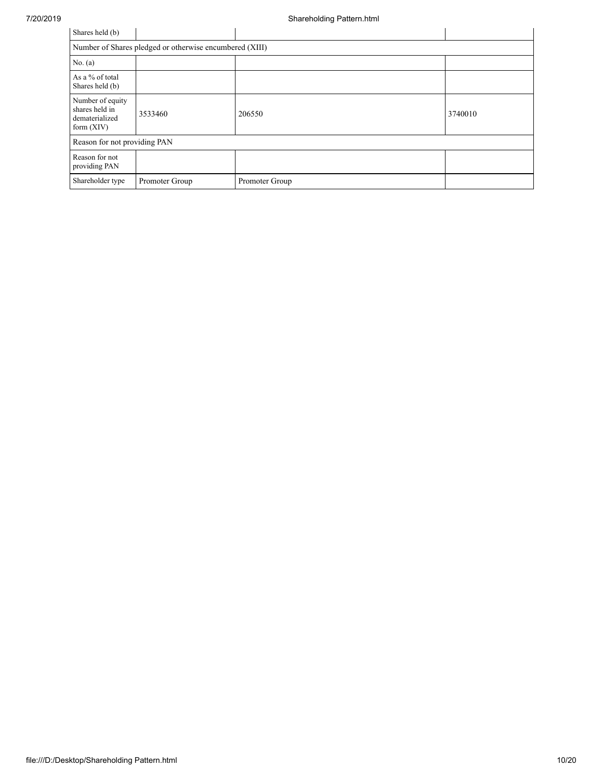| Shares held (b)                                                      |                                                         |                |         |
|----------------------------------------------------------------------|---------------------------------------------------------|----------------|---------|
|                                                                      | Number of Shares pledged or otherwise encumbered (XIII) |                |         |
| No. $(a)$                                                            |                                                         |                |         |
| As a % of total<br>Shares held (b)                                   |                                                         |                |         |
| Number of equity<br>shares held in<br>dematerialized<br>form $(XIV)$ | 3533460                                                 | 206550         | 3740010 |
| Reason for not providing PAN                                         |                                                         |                |         |
| Reason for not<br>providing PAN                                      |                                                         |                |         |
| Shareholder type                                                     | Promoter Group                                          | Promoter Group |         |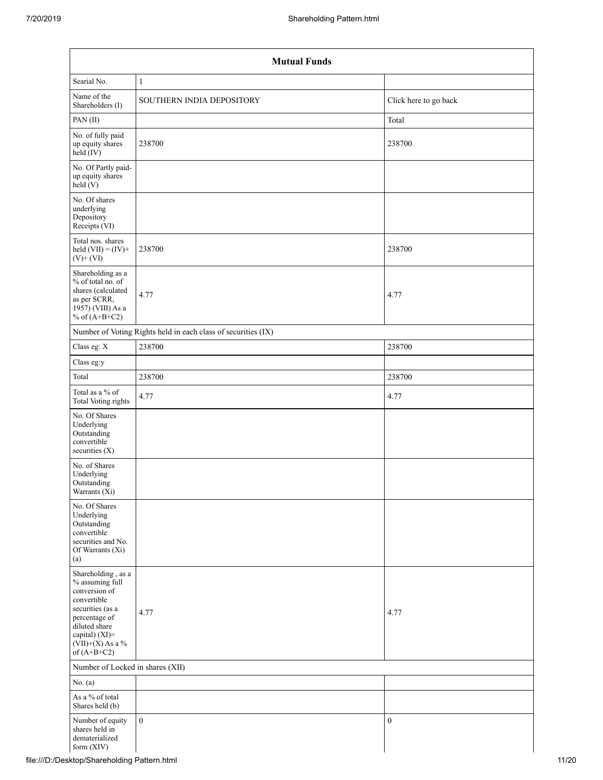|                                                                                                                                                                                      | <b>Mutual Funds</b>                                           |                       |  |  |  |  |  |  |
|--------------------------------------------------------------------------------------------------------------------------------------------------------------------------------------|---------------------------------------------------------------|-----------------------|--|--|--|--|--|--|
| Searial No.                                                                                                                                                                          | $\mathbf{1}$                                                  |                       |  |  |  |  |  |  |
| Name of the<br>Shareholders (I)                                                                                                                                                      | SOUTHERN INDIA DEPOSITORY                                     | Click here to go back |  |  |  |  |  |  |
| PAN(II)                                                                                                                                                                              |                                                               | Total                 |  |  |  |  |  |  |
| No. of fully paid<br>up equity shares<br>$held$ (IV)                                                                                                                                 | 238700                                                        | 238700                |  |  |  |  |  |  |
| No. Of Partly paid-<br>up equity shares<br>$\text{held} (V)$                                                                                                                         |                                                               |                       |  |  |  |  |  |  |
| No. Of shares<br>underlying<br>Depository<br>Receipts (VI)                                                                                                                           |                                                               |                       |  |  |  |  |  |  |
| Total nos. shares<br>held $(VII) = (IV) +$<br>$(V) + \check{(VI)}$                                                                                                                   | 238700                                                        | 238700                |  |  |  |  |  |  |
| Shareholding as a<br>% of total no. of<br>shares (calculated<br>as per SCRR,<br>1957) (VIII) As a<br>% of $(A+B+C2)$                                                                 | 4.77                                                          | 4.77                  |  |  |  |  |  |  |
|                                                                                                                                                                                      | Number of Voting Rights held in each class of securities (IX) |                       |  |  |  |  |  |  |
| Class eg: X                                                                                                                                                                          | 238700                                                        | 238700                |  |  |  |  |  |  |
| Class eg:y                                                                                                                                                                           |                                                               |                       |  |  |  |  |  |  |
| Total                                                                                                                                                                                | 238700                                                        | 238700                |  |  |  |  |  |  |
| Total as a % of<br>Total Voting rights                                                                                                                                               | 4.77                                                          | 4.77                  |  |  |  |  |  |  |
| No. Of Shares<br>Underlying<br>Outstanding<br>convertible<br>securities (X)                                                                                                          |                                                               |                       |  |  |  |  |  |  |
| No. of Shares<br>Underlying<br>Outstanding<br>Warrants (Xi)                                                                                                                          |                                                               |                       |  |  |  |  |  |  |
| No. Of Shares<br>Underlying<br>Outstanding<br>convertible<br>securities and No.<br>Of Warrants (Xi)<br>(a)                                                                           |                                                               |                       |  |  |  |  |  |  |
| Shareholding, as a<br>% assuming full<br>conversion of<br>convertible<br>securities (as a<br>percentage of<br>diluted share<br>capital) (XI)=<br>$(VII)+(X)$ As a %<br>of $(A+B+C2)$ | 4.77                                                          | 4.77                  |  |  |  |  |  |  |
| Number of Locked in shares (XII)                                                                                                                                                     |                                                               |                       |  |  |  |  |  |  |
| No. $(a)$                                                                                                                                                                            |                                                               |                       |  |  |  |  |  |  |
| As a % of total<br>Shares held (b)                                                                                                                                                   |                                                               |                       |  |  |  |  |  |  |
| Number of equity<br>shares held in<br>dematerialized<br>form (XIV)                                                                                                                   | $\mathbf{0}$                                                  | $\mathbf{0}$          |  |  |  |  |  |  |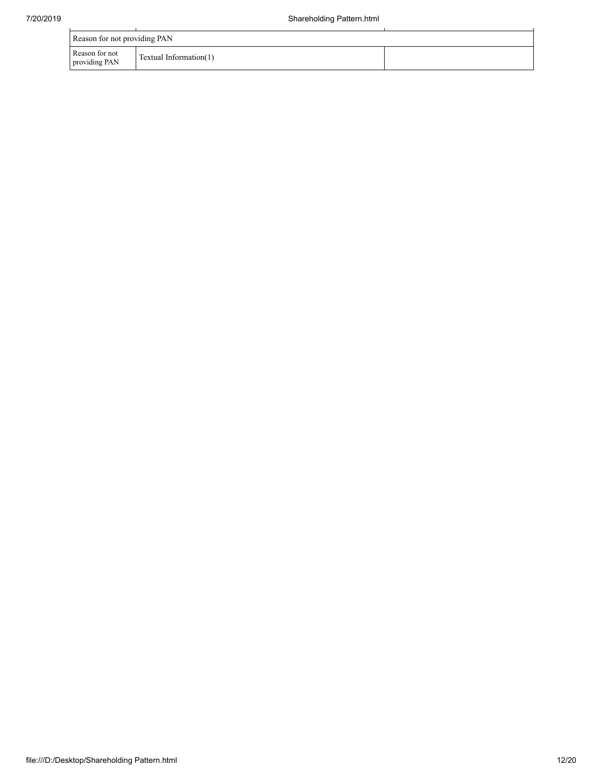| Reason for not providing PAN    |                        |  |
|---------------------------------|------------------------|--|
| Reason for not<br>providing PAN | Textual Information(1) |  |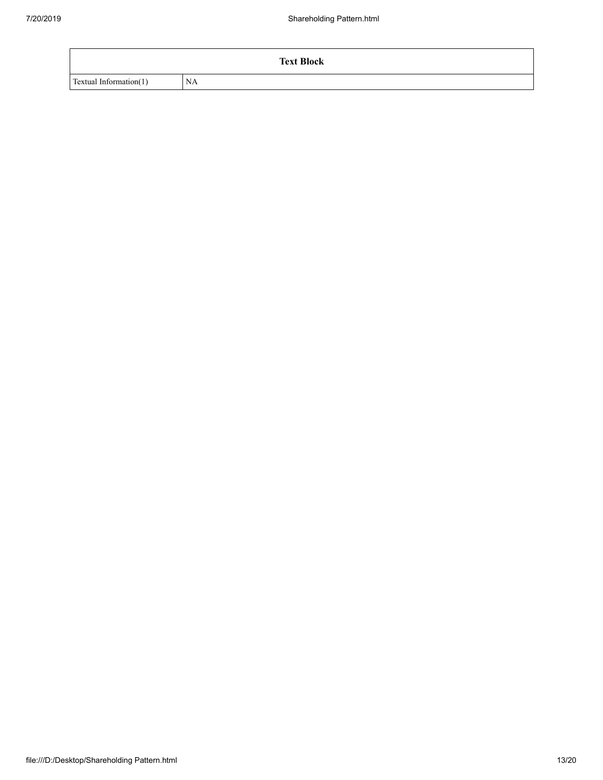| <b>Text Block</b>      |    |  |  |  |  |  |  |  |
|------------------------|----|--|--|--|--|--|--|--|
| Textual Information(1) | NA |  |  |  |  |  |  |  |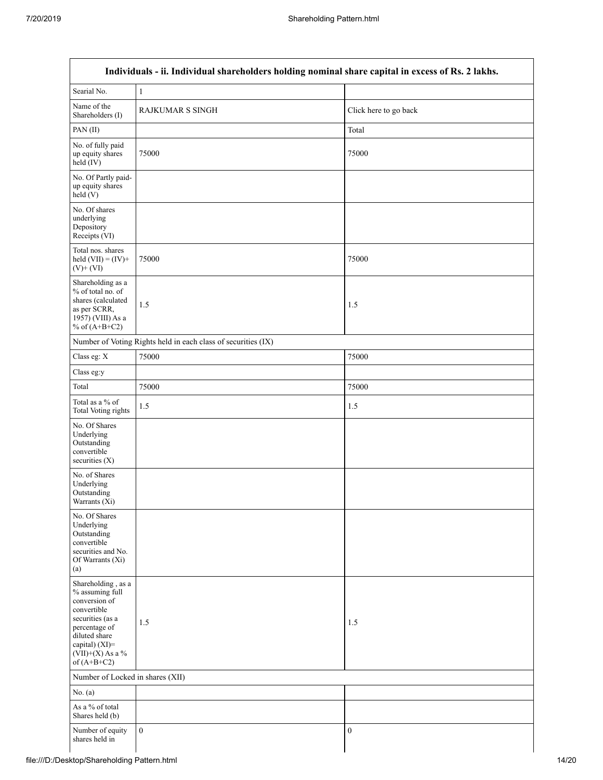$\mathbf{r}$ 

|                                                                                                                                                                                      | Individuals - ii. Individual shareholders holding nominal share capital in excess of Rs. 2 lakhs. |                       |
|--------------------------------------------------------------------------------------------------------------------------------------------------------------------------------------|---------------------------------------------------------------------------------------------------|-----------------------|
| Searial No.                                                                                                                                                                          | $\mathbf{1}$                                                                                      |                       |
| Name of the<br>Shareholders (I)                                                                                                                                                      | <b>RAJKUMAR S SINGH</b>                                                                           | Click here to go back |
| PAN(II)                                                                                                                                                                              |                                                                                                   | Total                 |
| No. of fully paid<br>up equity shares<br>$held$ (IV)                                                                                                                                 | 75000                                                                                             | 75000                 |
| No. Of Partly paid-<br>up equity shares<br>held(V)                                                                                                                                   |                                                                                                   |                       |
| No. Of shares<br>underlying<br>Depository<br>Receipts (VI)                                                                                                                           |                                                                                                   |                       |
| Total nos. shares<br>held $(VII) = (IV) +$<br>$(V)$ + $(VI)$                                                                                                                         | 75000                                                                                             | 75000                 |
| Shareholding as a<br>% of total no. of<br>shares (calculated<br>as per SCRR,<br>1957) (VIII) As a<br>% of $(A+B+C2)$                                                                 | 1.5                                                                                               | 1.5                   |
|                                                                                                                                                                                      | Number of Voting Rights held in each class of securities (IX)                                     |                       |
| Class eg: X                                                                                                                                                                          | 75000                                                                                             | 75000                 |
| Class eg:y                                                                                                                                                                           |                                                                                                   |                       |
| Total                                                                                                                                                                                | 75000                                                                                             | 75000                 |
| Total as a % of<br>Total Voting rights                                                                                                                                               | 1.5                                                                                               | 1.5                   |
| No. Of Shares<br>Underlying<br>Outstanding<br>convertible<br>securities $(X)$                                                                                                        |                                                                                                   |                       |
| No. of Shares<br>Underlying<br>Outstanding<br>Warrants (Xi)                                                                                                                          |                                                                                                   |                       |
| No. Of Shares<br>Underlying<br>Outstanding<br>convertible<br>securities and No.<br>Of Warrants (Xi)<br>(a)                                                                           |                                                                                                   |                       |
| Shareholding, as a<br>% assuming full<br>conversion of<br>convertible<br>securities (as a<br>percentage of<br>diluted share<br>capital) (XI)=<br>$(VII)+(X)$ As a %<br>of $(A+B+C2)$ | 1.5                                                                                               | 1.5                   |
| Number of Locked in shares (XII)                                                                                                                                                     |                                                                                                   |                       |
| No. (a)                                                                                                                                                                              |                                                                                                   |                       |
| As a % of total<br>Shares held (b)                                                                                                                                                   |                                                                                                   |                       |
| Number of equity<br>shares held in                                                                                                                                                   | $\mathbf{0}$                                                                                      | $\mathbf{0}$          |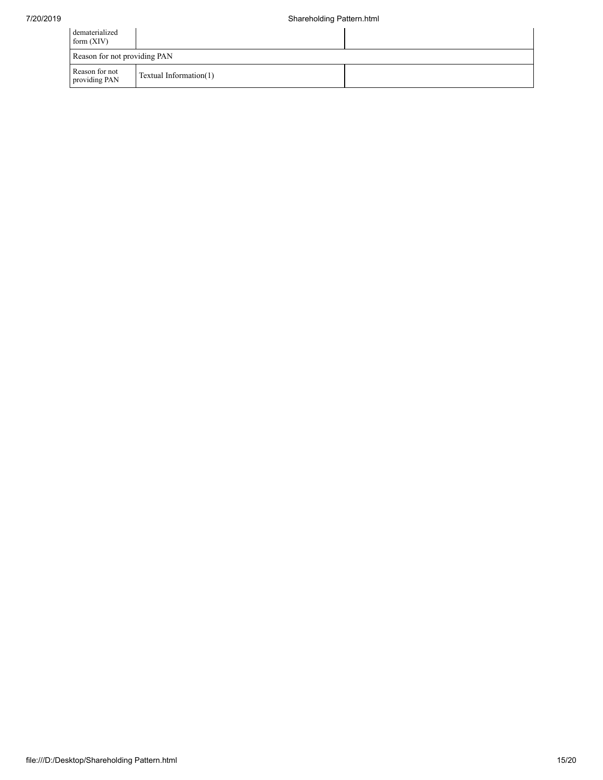| dematerialized<br>form $(XIV)$  |                        |  |  |  |  |  |  |
|---------------------------------|------------------------|--|--|--|--|--|--|
| Reason for not providing PAN    |                        |  |  |  |  |  |  |
| Reason for not<br>providing PAN | Textual Information(1) |  |  |  |  |  |  |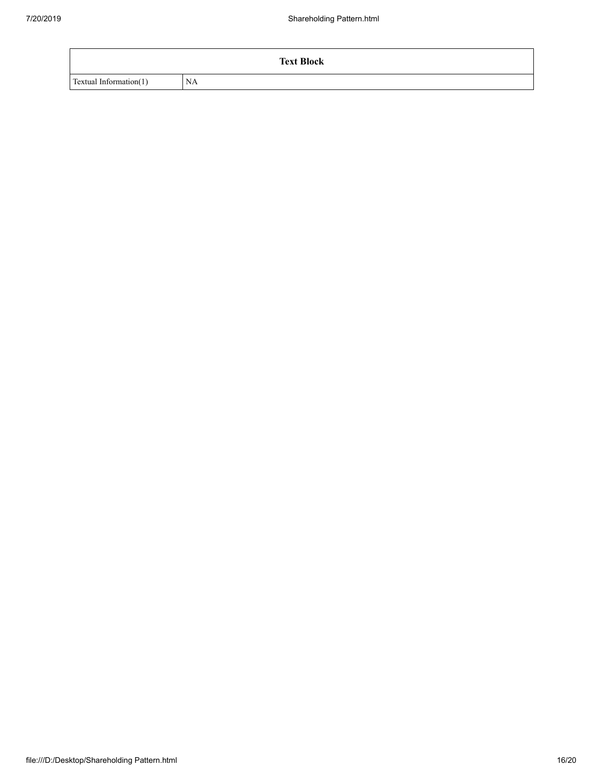| <b>Text Block</b>      |    |  |  |  |  |  |  |  |
|------------------------|----|--|--|--|--|--|--|--|
| Textual Information(1) | NA |  |  |  |  |  |  |  |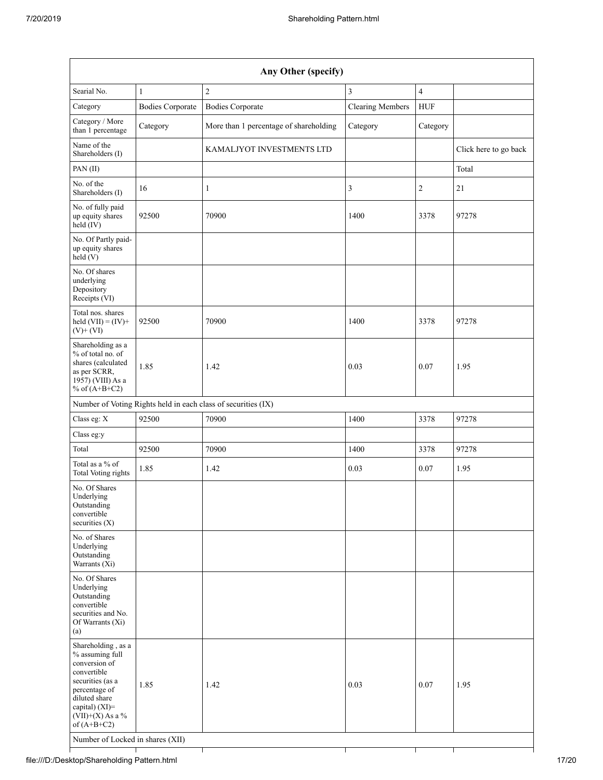| Any Other (specify)                                                                                                                                                                                                              |                         |                                                               |                         |                       |       |  |  |  |  |
|----------------------------------------------------------------------------------------------------------------------------------------------------------------------------------------------------------------------------------|-------------------------|---------------------------------------------------------------|-------------------------|-----------------------|-------|--|--|--|--|
| Searial No.<br>$\overline{2}$<br>3<br>$\mathbf{1}$<br>$\overline{4}$                                                                                                                                                             |                         |                                                               |                         |                       |       |  |  |  |  |
| Category                                                                                                                                                                                                                         | <b>Bodies Corporate</b> | <b>Bodies Corporate</b>                                       | <b>Clearing Members</b> | HUF                   |       |  |  |  |  |
| Category / More<br>than 1 percentage                                                                                                                                                                                             | Category                | More than 1 percentage of shareholding                        | Category                |                       |       |  |  |  |  |
| Name of the<br>Shareholders (I)                                                                                                                                                                                                  |                         | KAMALJYOT INVESTMENTS LTD                                     |                         | Click here to go back |       |  |  |  |  |
| PAN(II)                                                                                                                                                                                                                          |                         |                                                               |                         |                       | Total |  |  |  |  |
| No. of the<br>Shareholders (I)                                                                                                                                                                                                   | 16                      | 1                                                             | 3                       | 2                     | 21    |  |  |  |  |
| No. of fully paid<br>up equity shares<br>$held$ (IV)                                                                                                                                                                             | 92500                   | 70900                                                         | 1400                    | 3378                  | 97278 |  |  |  |  |
| No. Of Partly paid-<br>up equity shares<br>held(V)                                                                                                                                                                               |                         |                                                               |                         |                       |       |  |  |  |  |
| No. Of shares<br>underlying<br>Depository<br>Receipts (VI)                                                                                                                                                                       |                         |                                                               |                         |                       |       |  |  |  |  |
| Total nos. shares<br>held $(VII) = (IV) +$<br>$(V)$ + $(VI)$                                                                                                                                                                     | 92500                   | 70900                                                         | 1400                    | 3378                  | 97278 |  |  |  |  |
| Shareholding as a<br>% of total no. of<br>shares (calculated<br>1.85<br>as per SCRR,<br>$19\bar{5}7$ ) (VIII) As a<br>% of $(A+B+C2)$                                                                                            |                         | 1.42                                                          | 0.03                    | 0.07                  | 1.95  |  |  |  |  |
|                                                                                                                                                                                                                                  |                         | Number of Voting Rights held in each class of securities (IX) |                         |                       |       |  |  |  |  |
| Class eg: X                                                                                                                                                                                                                      | 92500                   | 70900                                                         | 1400                    | 3378                  | 97278 |  |  |  |  |
| Class eg:y                                                                                                                                                                                                                       |                         |                                                               |                         |                       |       |  |  |  |  |
| Total                                                                                                                                                                                                                            | 92500                   | 70900                                                         | 1400                    | 3378                  | 97278 |  |  |  |  |
| Total as a % of<br>Total Voting rights                                                                                                                                                                                           | 1.85                    | 1.42                                                          | 0.03                    | 0.07                  | 1.95  |  |  |  |  |
| No. Of Shares<br>Underlying<br>Outstanding<br>convertible<br>securities (X)                                                                                                                                                      |                         |                                                               |                         |                       |       |  |  |  |  |
| No. of Shares<br>Underlying<br>Outstanding<br>Warrants (Xi)                                                                                                                                                                      |                         |                                                               |                         |                       |       |  |  |  |  |
| No. Of Shares<br>Underlying<br>Outstanding<br>convertible<br>securities and No.<br>Of Warrants (Xi)<br>(a)                                                                                                                       |                         |                                                               |                         |                       |       |  |  |  |  |
| Shareholding, as a<br>% assuming full<br>conversion of<br>convertible<br>securities (as a<br>1.85<br>percentage of<br>diluted share<br>capital) (XI)=<br>$(VII)+(X)$ As a %<br>of $(A+B+C2)$<br>Number of Locked in shares (XII) |                         | 1.42                                                          | 0.03                    | 0.07                  | 1.95  |  |  |  |  |

┓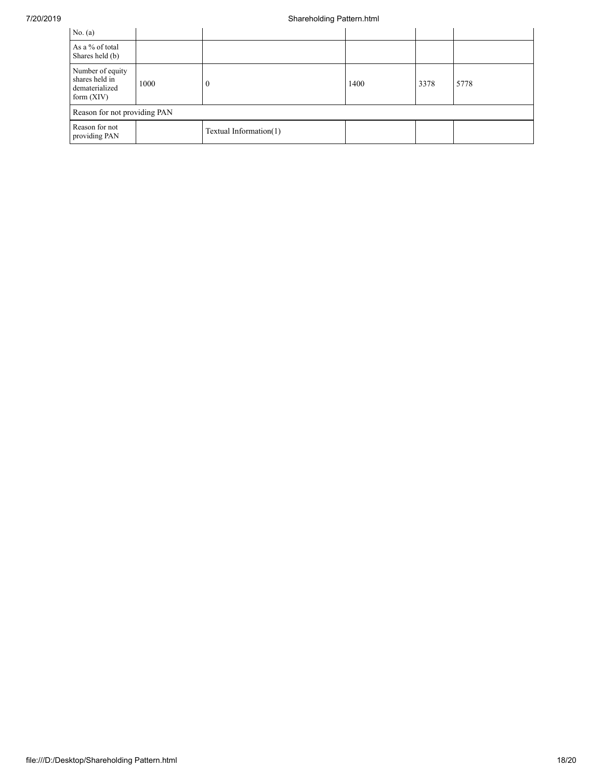## 7/20/2019 Shareholding Pattern.html

| No. $(a)$                                                            |                        |   |      |      |      |  |  |  |  |
|----------------------------------------------------------------------|------------------------|---|------|------|------|--|--|--|--|
| As a % of total<br>Shares held (b)                                   |                        |   |      |      |      |  |  |  |  |
| Number of equity<br>shares held in<br>dematerialized<br>form $(XIV)$ | 1000                   | 0 | 1400 | 3378 | 5778 |  |  |  |  |
| Reason for not providing PAN                                         |                        |   |      |      |      |  |  |  |  |
| Reason for not<br>providing PAN                                      | Textual Information(1) |   |      |      |      |  |  |  |  |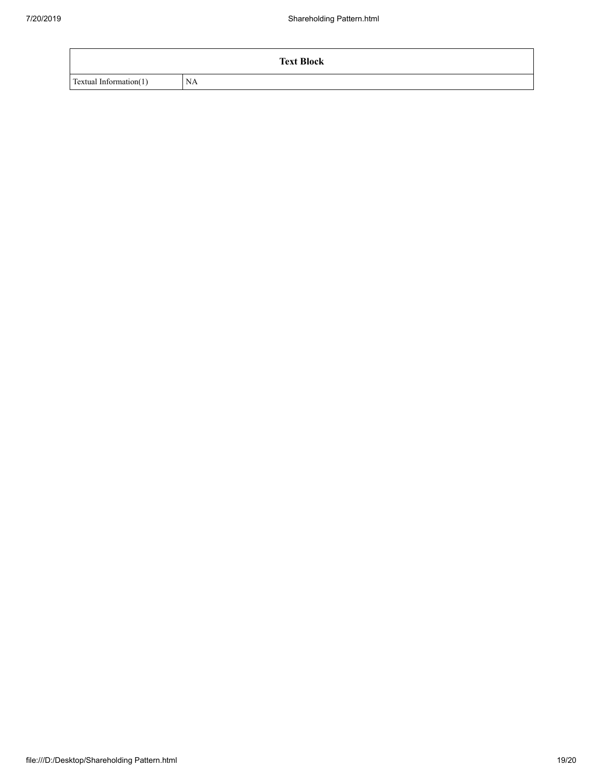| <b>Text Block</b>      |    |  |  |  |  |  |  |  |
|------------------------|----|--|--|--|--|--|--|--|
| Textual Information(1) | NA |  |  |  |  |  |  |  |